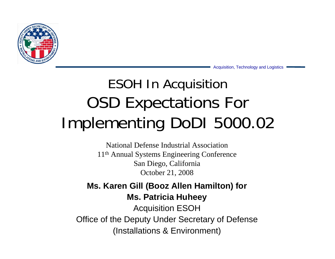

Acquisition, Technology and Logistics

## ESOH In Acquisition OSD Expectations For Implementing DoDI 5000.02

National Defense Industrial Association11th Annual Systems Engineering Conference San Diego, California October 21, 2008

**Ms. Karen Gill (Booz Allen Hamilton) for Ms. Patricia Huheey** Acquisition ESOH Office of the Deputy Under Secretary of Defense (Installations & Environment)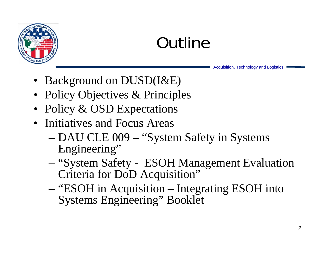

# **Outline**

- Background on DUSD(I&E)
- Policy Objectives & Principles
- Policy & OSD Expectations
- Initiatives and Focus Areas
	- DAU CLE 009 "System Safety in Systems Engineering"
	- – "System Safety - ESOH Management Evaluation Criteria for DoD Acquisition"
	- – "ESOH in Acquisition – Integrating ESOH into Systems Engineering" Booklet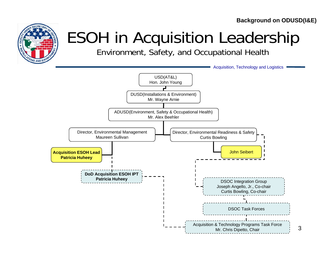**Background on ODUSD(I&E)**

3



# ESOH in Acquisition Leadership

Environment, Safety, and Occupational Health

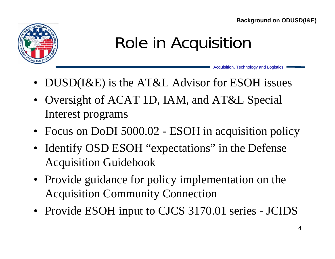**Background on ODUSD(I&E)**



## Role in Acquisition

- DUSD(I&E) is the AT&L Advisor for ESOH issues
- Oversight of ACAT 1D, IAM, and AT&L Special Interest programs
- Focus on DoDI 5000.02 ESOH in acquisition policy
- Identify OSD ESOH "expectations" in the Defense Acquisition Guidebook
- Provide guidance for policy implementation on the Acquisition Community Connection
- Provide ESOH input to CJCS 3170.01 series JCIDS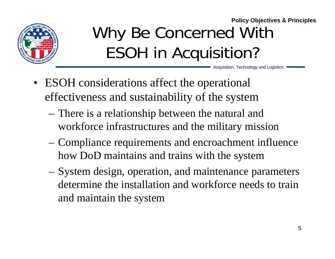

#### Why Be Concerned With ESOH in Acquisition? **Policy Objectives & Principles**

- ESOH considerations affect the operational effectiveness and sustainability of the system
	- – There is a relationship between the natural and workforce infrastructures and the military mission
	- – Compliance requirements and encroachment influence how DoD maintains and trains with the system
	- System design, operation, and maintenance parameters determine the installation and workforce needs to train and maintain the system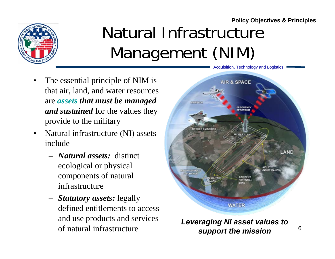

# Natural Infrastructure Management (NIM)

- • The essential principle of NIM is that air, land, and water resources are *assets that must be managed and sustained* for the values they provide to the military
- • Natural infrastructure (NI) assets include
	- *Natural assets:* distinct ecological or physical components of natural infrastructure
	- *Statutory assets:* legally defined entitlements to access and use products and services of natural infrastructure



*Leveraging NI asset values to support the mission*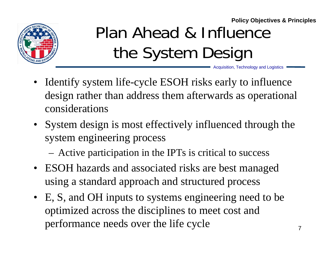

# Plan Ahead & Influence the System Design

- Identify system life-cycle ESOH risks early to influence design rather than address them afterwards as operational considerations
- System design is most effectively influenced through the system engineering process
	- Active participation in the IPTs is critical to success
- ESOH hazards and associated risks are best managed using a standard approach and structured process
- E, S, and OH inputs to systems engineering need to be optimized across the disciplines to meet cost and performance needs over the life cycle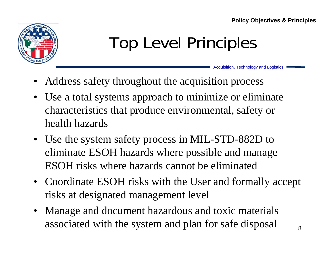

# Top Level Principles

- •Address safety throughout the acquisition process
- • Use a total systems approach to minimize or eliminate characteristics that produce environmental, safety or health hazards
- Use the system safety process in MIL-STD-882D to eliminate ESOH hazards where possible and manage ESOH risks where hazards cannot be eliminated
- Coordinate ESOH risks with the User and formally accept risks at designated management level
- Manage and document hazardous and toxic materials associated with the system and plan for safe disposal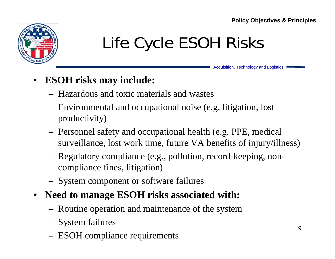

# Life Cycle ESOH Risks

Acquisition, Technology and Logistics

#### •**ESOH risks may include:**

- Hazardous and toxic materials and wastes
- – Environmental and occupational noise (e.g. litigation, lost productivity)
- – Personnel safety and occupational health (e.g. PPE, medical surveillance, lost work time, future VA benefits of injury/illness)
- Regulatory compliance (e.g., pollution, record-keeping, noncompliance fines, litigation)
- –System component or software failures
- • **Need to manage ESOH risks associated with:**
	- –Routine operation and maintenance of the system
	- System failures
	- ESOH compliance requirements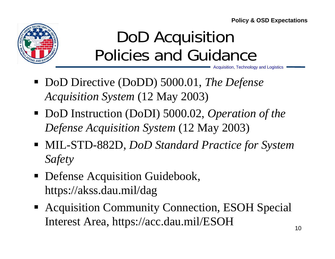**Policy & OSD Expectations**



## DoD Acquisition Policies and Guidance

- DoD Directive (DoDD) 5000.01, *The Defense Acquisition System* (12 May 2003)
- DoD Instruction (DoDI) 5000.02, *Operation of the Defense Acquisition System* (12 May 2003)
- MIL-STD-882D, *DoD Standard Practice for System Safety*
- **Defense Acquisition Guidebook,** https://akss.dau.mil/dag
- Acquisition Community Connection, ESOH Special Interest Area, https://acc.dau.mil/ESOH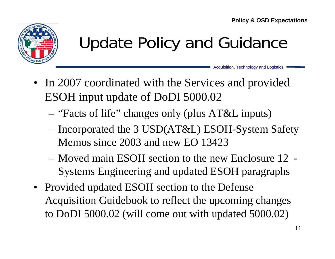

# Update Policy and Guidance

- In 2007 coordinated with the Services and provided ESOH input update of DoDI 5000.02
	- –"Facts of life" changes only (plus AT&L inputs)
	- – Incorporated the 3 USD(AT&L) ESOH-System Safety Memos since 2003 and new EO 13423
	- Moved main ESOH section to the new Enclosure 12 Systems Engineering and updated ESOH paragraphs
- Provided updated ESOH section to the Defense Acquisition Guidebook to reflect the upcoming changes to DoDI 5000.02 (will come out with updated 5000.02)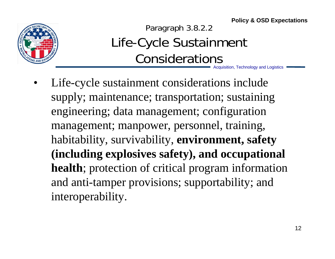**Policy & OSD Expectations**



Acquisition, Technology and Logistics Paragraph 3.8.2.2 Life-Cycle Sustainment Considerations

• Life-cycle sustainment considerations include supply; maintenance; transportation; sustaining engineering; data management; configuration management; manpower, personnel, training, habitability, survivability, **environment, safety (including explosives safety), and occupational health**; protection of critical program information and anti-tamper provisions; supportability; and interoperability.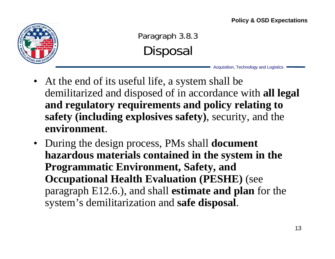

Paragraph 3.8.3 **Disposal** 

- At the end of its useful life, a system shall be demilitarized and disposed of in accordance with **all legal and regulatory requirements and policy relating to safety (including explosives safety)**, security, and the **environment**.
- During the design process, PMs shall **document hazardous materials contained in the system in the Programmatic Environment, Safety, and Occupational Health Evaluation (PESHE)** (see paragraph E12.6.), and shall **estimate and plan** for the system's demilitarization and **safe disposal**.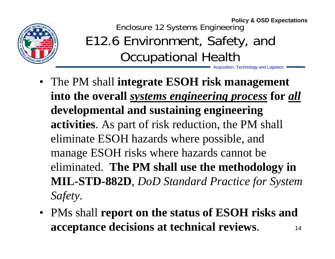

Enclosure 12 Systems Engineering E12.6 Environment, Safety, and Occupational Health **Policy & OSD Expectations**

- The PM shall **integrate ESOH risk management into the overall** *systems engineering process* **for** *all* **developmental and sustaining engineering activities**. As part of risk reduction, the PM shall eliminate ESOH hazards where possible, and manage ESOH risks where hazards cannot be eliminated. **The PM shall use the methodology in MIL-STD-882D**, *DoD Standard Practice for System Safety*.
- 14• PMs shall **report on the status of ESOH risks and acceptance decisions at technical reviews**.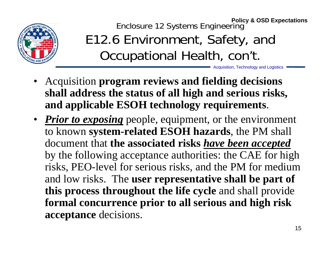

Enclosure 12 Systems Engineering **Policy & OSD Expectations**

### E12.6 Environment, Safety, and Occupational Health, con't.

- Acquisition **program reviews and fielding decisions shall address the status of all high and serious risks, and applicable ESOH technology requirements**.
- *Prior to exposing* people, equipment, or the environment to known **system-related ESOH hazards**, the PM shall document that **the associated risks** *have been accepted* by the following acceptance authorities: the CAE for high risks, PEO-level for serious risks, and the PM for medium and low risks. The **user representative shall be part of this process throughout the life cycle** and shall provide **formal concurrence prior to all serious and high risk acceptance** decisions.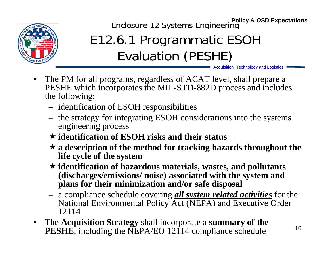

Enclosure 12 Systems Engineering **Policy & OSD Expectations**

## E12.6.1 Programmatic ESOH Evaluation (PESHE)

- $\bullet$  The PM for all programs, regardless of ACAT level, shall prepare <sup>a</sup> PESHE which incorporates the MIL-STD-882D process and includes the following:
	- identification of ESOH responsibilities
	- the strategy for integrating ESOH considerations into the systems engineering process
	- **identification of ESOH risks and their status**
	- **a description of the method for tracking hazards throughout the life cycle of the system**
	- **identification of hazardous materials, wastes, and pollutants (discharges/emissions/ noise) associated with the system and plans for their minimization and/or safe disposal**
	- a compliance schedule covering *all system related activities* for the National Environmental Policy Act (NEPA) and Executive Order 12114
- $\bullet$  The **Acquisition Strategy** shall incorporate a **summary of the PESHE**, including the NEPA/EO 12114 compliance schedule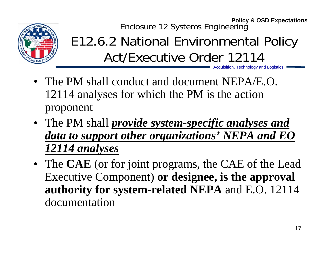

Enclosure 12 Systems Engineering **Policy & OSD Expectations**

Acquisition, Technology and Logistics E12.6.2 National Environmental Policy Act/Executive Order 12114

- The PM shall conduct and document NEPA/E.O. 12114 analyses for which the PM is the action proponent
- The PM shall *provide system-specific analyses and data to support other organizations' NEPA and EO 12114 analyses*
- The **CAE** (or for joint programs, the CAE of the Lead Executive Component) **or designee, is the approval authority for system-related NEPA** and E.O. 12114 documentation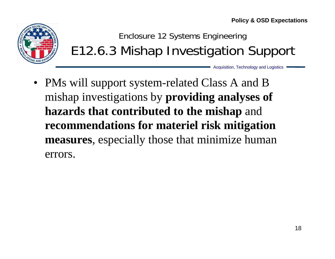**Policy & OSD Expectations**



Enclosure 12 Systems Engineering E12.6.3 Mishap Investigation Support

Acquisition, Technology and Logistics

• PMs will support system-related Class A and B mishap investigations by **providing analyses of hazards that contributed to the mishap** and **recommendations for materiel risk mitigation measures**, especially those that minimize human errors.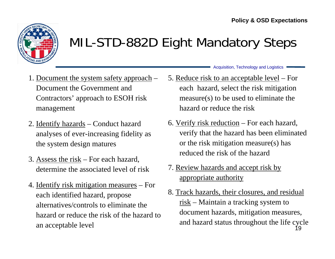

#### MIL-STD-882D Eight Mandatory Steps

- 1. Document the system safety approach Document the Government and Contractors' approach to ESOH risk management
- 2. Identify hazards Conduct hazard analyses of ever-increasing fidelity as the system design matures
- 3. Assess the risk For each hazard, determine the associated level of risk
- 4. Identify risk mitigation measures For each identified hazard, propose alternatives/controls to eliminate the hazard or reduce the risk of the hazard to an acceptable level
- Acquisition, Technology and Logistics
- 5. Reduce risk to an acceptable level For each hazard, select the risk mitigation measure(s) to be used to eliminate the hazard or reduce the risk
- 6. Verify risk reduction For each hazard, verify that the hazard has been eliminated or the risk mitigation measure(s) has reduced the risk of the hazard
- 7. Review hazards and accept risk by appropriate authority
- 19 8. Track hazards, their closures, and residual <u>risk</u> – Maintain a tracking system to document hazards, mitigation measures, and hazard status throughout the life cycle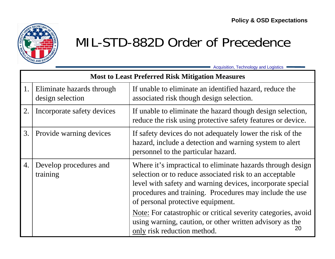

#### MIL-STD-882D Order of Precedence

| <b>Most to Least Preferred Risk Mitigation Measures</b> |                                               |                                                                                                                                                                                                                                                                                                                                                                                                                                                       |
|---------------------------------------------------------|-----------------------------------------------|-------------------------------------------------------------------------------------------------------------------------------------------------------------------------------------------------------------------------------------------------------------------------------------------------------------------------------------------------------------------------------------------------------------------------------------------------------|
| 1.                                                      | Eliminate hazards through<br>design selection | If unable to eliminate an identified hazard, reduce the<br>associated risk though design selection.                                                                                                                                                                                                                                                                                                                                                   |
| 2.                                                      | Incorporate safety devices                    | If unable to eliminate the hazard though design selection,<br>reduce the risk using protective safety features or device.                                                                                                                                                                                                                                                                                                                             |
| 3.                                                      | Provide warning devices                       | If safety devices do not adequately lower the risk of the<br>hazard, include a detection and warning system to alert<br>personnel to the particular hazard.                                                                                                                                                                                                                                                                                           |
| 4.                                                      | Develop procedures and<br>training            | Where it's impractical to eliminate hazards through design<br>selection or to reduce associated risk to an acceptable<br>level with safety and warning devices, incorporate special<br>procedures and training. Procedures may include the use<br>of personal protective equipment.<br>Note: For catastrophic or critical severity categories, avoid<br>using warning, caution, or other written advisory as the<br>20<br>only risk reduction method. |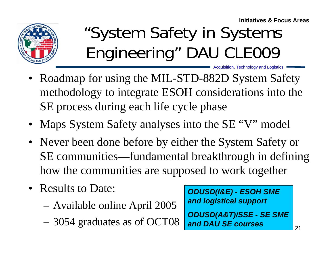**Initiatives & Focus Areas**

Acquisition, Technology and Logistics



# "System Safety in Systems Engineering" DAU CLE009

- Roadmap for using the MIL-STD-882D System Safety methodology to integrate ESOH considerations into the SE process during each life cycle phase
- Maps System Safety analyses into the SE "V" model
- Never been done before by either the System Safety or SE communities—fundamental breakthrough in defining how the communities are supposed to work together
- Results to Date:
	- –Available online April 2005
	- –3054 graduates as of OCT08

*ODUSD(I&E) - ESOH SME and logistical support*

*ODUSD(A&T)/SSE - SE SME and DAU SE courses*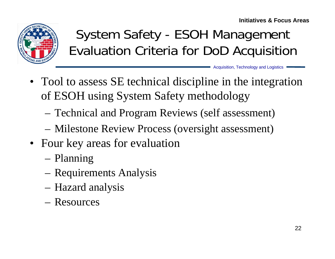**Initiatives & Focus Areas**



### System Safety - ESOH Management Evaluation Criteria for DoD Acquisition

- Tool to assess SE technical discipline in the integration of ESOH using System Safety methodology
	- Technical and Program Reviews (self assessment)
	- Milestone Review Process (oversight assessment)
- Four key areas for evaluation
	- –Planning
	- –Requirements Analysis
	- –Hazard analysis
	- Resources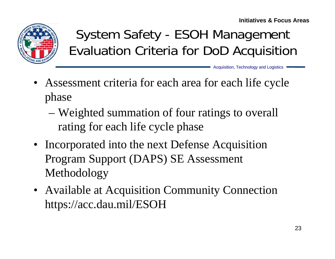

## System Safety - ESOH Management Evaluation Criteria for DoD Acquisition

- Assessment criteria for each area for each life cycle phase
	- – Weighted summation of four ratings to overall rating for each life cycle phase
- Incorporated into the next Defense Acquisition Program Support (DAPS) SE Assessment Methodology
- Available at Acquisition Community Connection https://acc.dau.mil/ESOH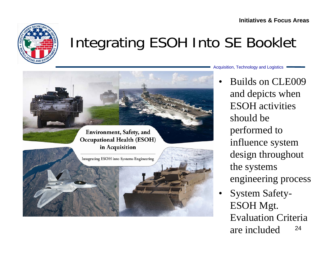

## Integrating ESOH Into SE Booklet



Acquisition, Technology and Logistics

•

 Builds on CLE009 and depicts when ESOH activities should be performed to influence system design throughout the systems engineering process

24• System Safety-ESOH Mgt. Evaluation Criteria are included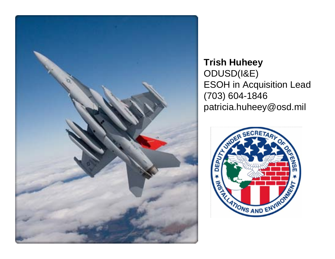

**Trish Huheey** ODUSD(I&E) ESOH in Acquisition Lead (703) 604-1846 patricia.huheey@osd.mil

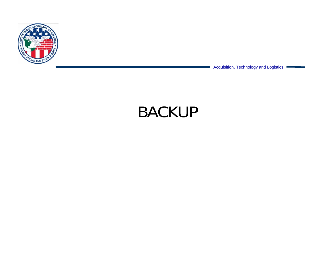

Acquisition, Technology and Logistics

## BACKUP